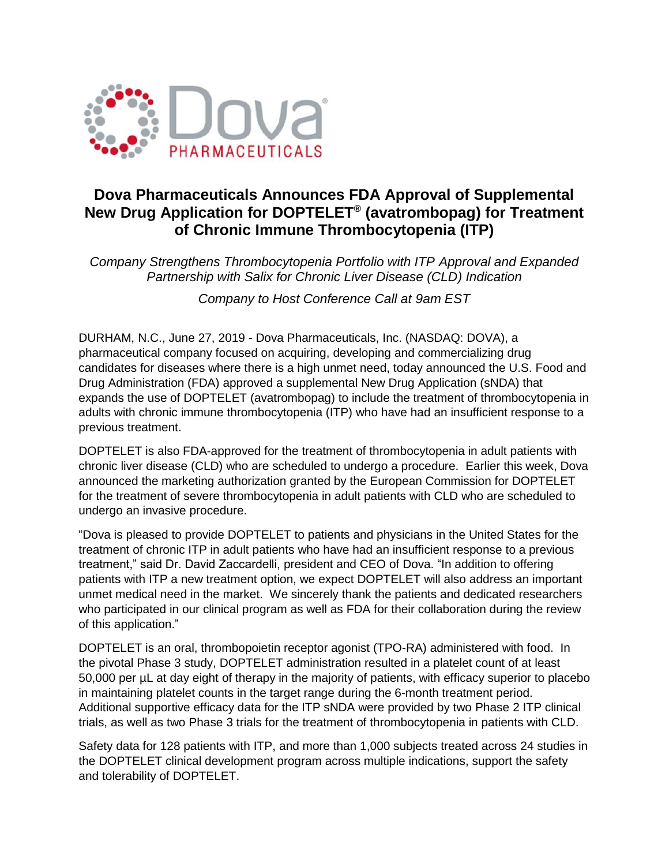

# **Dova Pharmaceuticals Announces FDA Approval of Supplemental New Drug Application for DOPTELET® (avatrombopag) for Treatment of Chronic Immune Thrombocytopenia (ITP)**

*Company Strengthens Thrombocytopenia Portfolio with ITP Approval and Expanded Partnership with Salix for Chronic Liver Disease (CLD) Indication*

*Company to Host Conference Call at 9am EST*

DURHAM, N.C., June 27, 2019 - Dova Pharmaceuticals, Inc. (NASDAQ: DOVA), a pharmaceutical company focused on acquiring, developing and commercializing drug candidates for diseases where there is a high unmet need, today announced the U.S. Food and Drug Administration (FDA) approved a supplemental New Drug Application (sNDA) that expands the use of DOPTELET (avatrombopag) to include the treatment of thrombocytopenia in adults with chronic immune thrombocytopenia (ITP) who have had an insufficient response to a previous treatment.

DOPTELET is also FDA-approved for the treatment of thrombocytopenia in adult patients with chronic liver disease (CLD) who are scheduled to undergo a procedure. Earlier this week, Dova announced the marketing authorization granted by the European Commission for DOPTELET for the treatment of severe thrombocytopenia in adult patients with CLD who are scheduled to undergo an invasive procedure.

"Dova is pleased to provide DOPTELET to patients and physicians in the United States for the treatment of chronic ITP in adult patients who have had an insufficient response to a previous treatment," said Dr. David Zaccardelli, president and CEO of Dova. "In addition to offering patients with ITP a new treatment option, we expect DOPTELET will also address an important unmet medical need in the market. We sincerely thank the patients and dedicated researchers who participated in our clinical program as well as FDA for their collaboration during the review of this application."

DOPTELET is an oral, thrombopoietin receptor agonist (TPO-RA) administered with food. In the pivotal Phase 3 study, DOPTELET administration resulted in a platelet count of at least 50,000 per µL at day eight of therapy in the majority of patients, with efficacy superior to placebo in maintaining platelet counts in the target range during the 6-month treatment period. Additional supportive efficacy data for the ITP sNDA were provided by two Phase 2 ITP clinical trials, as well as two Phase 3 trials for the treatment of thrombocytopenia in patients with CLD.

Safety data for 128 patients with ITP, and more than 1,000 subjects treated across 24 studies in the DOPTELET clinical development program across multiple indications, support the safety and tolerability of DOPTELET.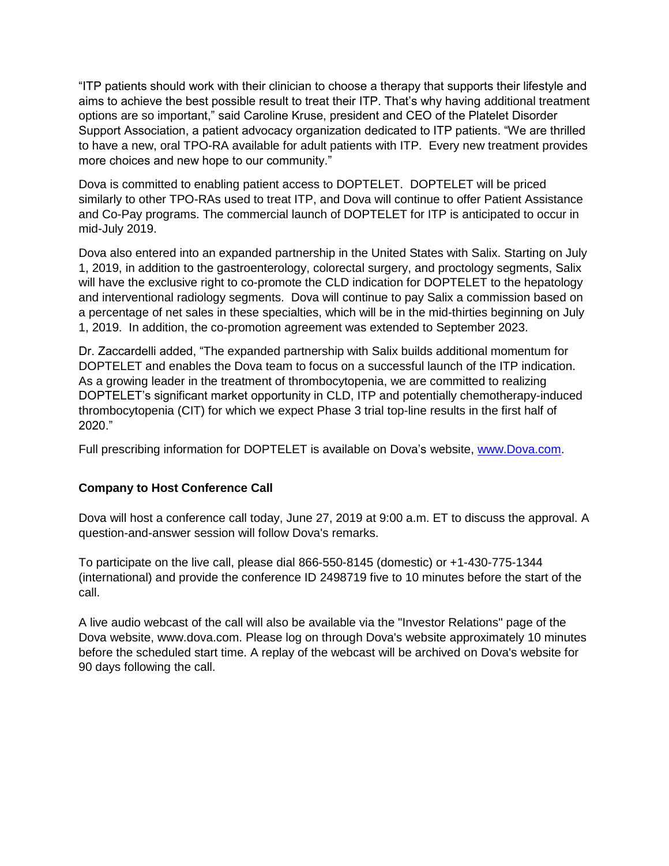"ITP patients should work with their clinician to choose a therapy that supports their lifestyle and aims to achieve the best possible result to treat their ITP. That's why having additional treatment options are so important," said Caroline Kruse, president and CEO of the Platelet Disorder Support Association, a patient advocacy organization dedicated to ITP patients. "We are thrilled to have a new, oral TPO-RA available for adult patients with ITP. Every new treatment provides more choices and new hope to our community."

Dova is committed to enabling patient access to DOPTELET. DOPTELET will be priced similarly to other TPO-RAs used to treat ITP, and Dova will continue to offer Patient Assistance and Co-Pay programs. The commercial launch of DOPTELET for ITP is anticipated to occur in mid-July 2019.

Dova also entered into an expanded partnership in the United States with Salix. Starting on July 1, 2019, in addition to the gastroenterology, colorectal surgery, and proctology segments, Salix will have the exclusive right to co-promote the CLD indication for DOPTELET to the hepatology and interventional radiology segments. Dova will continue to pay Salix a commission based on a percentage of net sales in these specialties, which will be in the mid-thirties beginning on July 1, 2019. In addition, the co-promotion agreement was extended to September 2023.

Dr. Zaccardelli added, "The expanded partnership with Salix builds additional momentum for DOPTELET and enables the Dova team to focus on a successful launch of the ITP indication. As a growing leader in the treatment of thrombocytopenia, we are committed to realizing DOPTELET's significant market opportunity in CLD, ITP and potentially chemotherapy-induced thrombocytopenia (CIT) for which we expect Phase 3 trial top-line results in the first half of 2020."

Full prescribing information for DOPTELET is available on Dova's website, [www.Dova.com.](https://dova.com/pdfs/doptelet-prescribing-information.pdf)

# **Company to Host Conference Call**

Dova will host a conference call today, June 27, 2019 at 9:00 a.m. ET to discuss the approval. A question-and-answer session will follow Dova's remarks.

To participate on the live call, please dial 866-550-8145 (domestic) or +1-430-775-1344 (international) and provide the conference ID 2498719 five to 10 minutes before the start of the call.

A live audio webcast of the call will also be available via the "Investor Relations" page of the Dova website, [www.dova.com.](http://www.dova.com/) Please log on through Dova's website approximately 10 minutes before the scheduled start time. A replay of the webcast will be archived on Dova's website for 90 days following the call.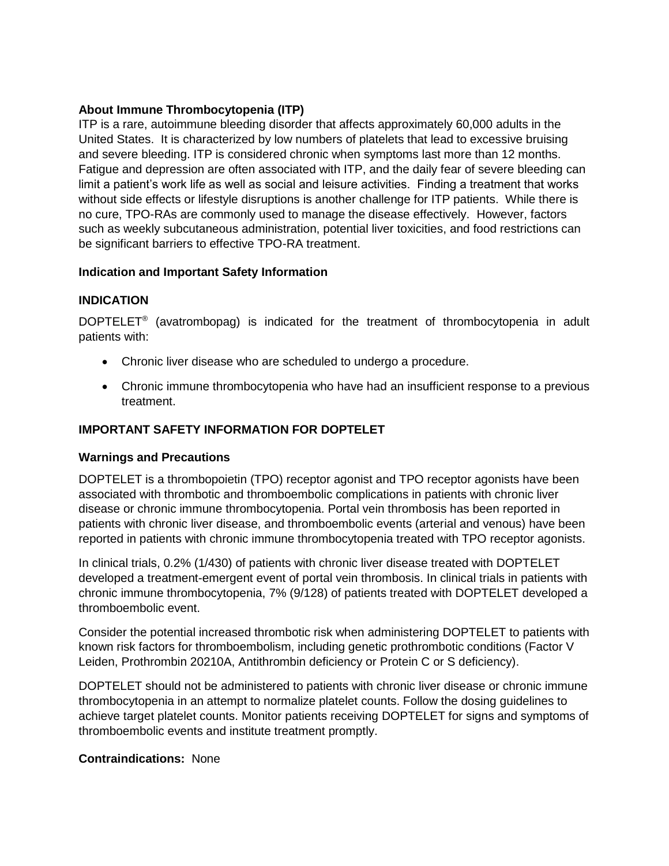## **About Immune Thrombocytopenia (ITP)**

ITP is a rare, autoimmune bleeding disorder that affects approximately 60,000 adults in the United States. It is characterized by low numbers of platelets that lead to excessive bruising and severe bleeding. ITP is considered chronic when symptoms last more than 12 months. Fatigue and depression are often associated with ITP, and the daily fear of severe bleeding can limit a patient's work life as well as social and leisure activities. Finding a treatment that works without side effects or lifestyle disruptions is another challenge for ITP patients. While there is no cure, TPO-RAs are commonly used to manage the disease effectively. However, factors such as weekly subcutaneous administration, potential liver toxicities, and food restrictions can be significant barriers to effective TPO-RA treatment.

#### **Indication and Important Safety Information**

#### **INDICATION**

DOPTELET® (avatrombopag) is indicated for the treatment of thrombocytopenia in adult patients with:

- Chronic liver disease who are scheduled to undergo a procedure.
- Chronic immune thrombocytopenia who have had an insufficient response to a previous treatment.

## **IMPORTANT SAFETY INFORMATION FOR DOPTELET**

#### **Warnings and Precautions**

DOPTELET is a thrombopoietin (TPO) receptor agonist and TPO receptor agonists have been associated with thrombotic and thromboembolic complications in patients with chronic liver disease or chronic immune thrombocytopenia. Portal vein thrombosis has been reported in patients with chronic liver disease, and thromboembolic events (arterial and venous) have been reported in patients with chronic immune thrombocytopenia treated with TPO receptor agonists.

In clinical trials, 0.2% (1/430) of patients with chronic liver disease treated with DOPTELET developed a treatment-emergent event of portal vein thrombosis. In clinical trials in patients with chronic immune thrombocytopenia, 7% (9/128) of patients treated with DOPTELET developed a thromboembolic event.

Consider the potential increased thrombotic risk when administering DOPTELET to patients with known risk factors for thromboembolism, including genetic prothrombotic conditions (Factor V Leiden, Prothrombin 20210A, Antithrombin deficiency or Protein C or S deficiency).

DOPTELET should not be administered to patients with chronic liver disease or chronic immune thrombocytopenia in an attempt to normalize platelet counts. Follow the dosing guidelines to achieve target platelet counts. Monitor patients receiving DOPTELET for signs and symptoms of thromboembolic events and institute treatment promptly.

#### **Contraindications:** None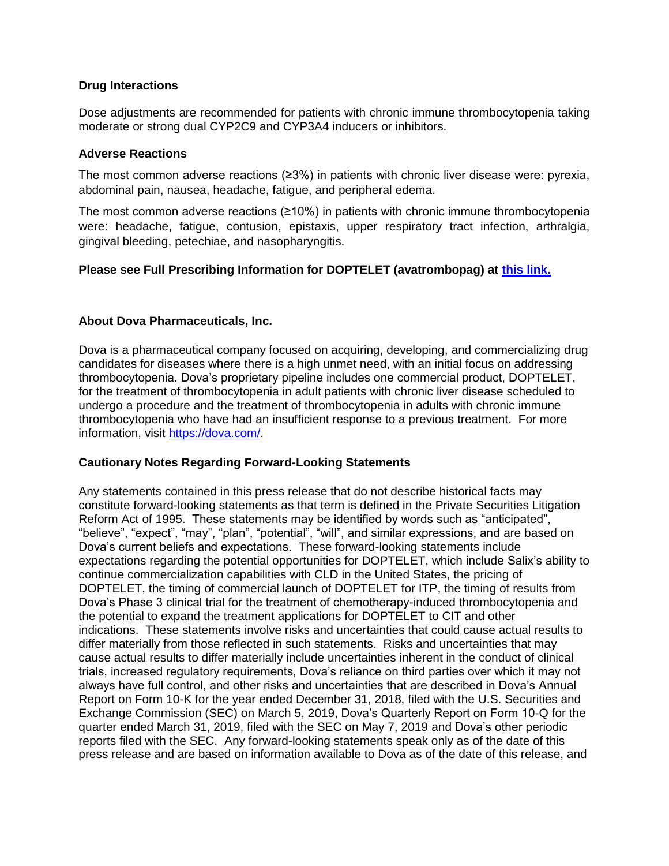#### **Drug Interactions**

Dose adjustments are recommended for patients with chronic immune thrombocytopenia taking moderate or strong dual CYP2C9 and CYP3A4 inducers or inhibitors.

#### **Adverse Reactions**

The most common adverse reactions (≥3%) in patients with chronic liver disease were: pyrexia, abdominal pain, nausea, headache, fatigue, and peripheral edema.

The most common adverse reactions (≥10%) in patients with chronic immune thrombocytopenia were: headache, fatigue, contusion, epistaxis, upper respiratory tract infection, arthralgia, gingival bleeding, petechiae, and nasopharyngitis.

## **Please see Full Prescribing Information for DOPTELET (avatrombopag) at [this link.](https://dova.com/pdfs/doptelet-prescribing-information.pdf)**

#### **About Dova Pharmaceuticals, Inc.**

Dova is a pharmaceutical company focused on acquiring, developing, and commercializing drug candidates for diseases where there is a high unmet need, with an initial focus on addressing thrombocytopenia. Dova's proprietary pipeline includes one commercial product, DOPTELET, for the treatment of thrombocytopenia in adult patients with chronic liver disease scheduled to undergo a procedure and the treatment of thrombocytopenia in adults with chronic immune thrombocytopenia who have had an insufficient response to a previous treatment. For more information, visit [https://dova.com/.](https://dova.com/)

#### **Cautionary Notes Regarding Forward-Looking Statements**

Any statements contained in this press release that do not describe historical facts may constitute forward-looking statements as that term is defined in the Private Securities Litigation Reform Act of 1995. These statements may be identified by words such as "anticipated", "believe", "expect", "may", "plan", "potential", "will", and similar expressions, and are based on Dova's current beliefs and expectations. These forward-looking statements include expectations regarding the potential opportunities for DOPTELET, which include Salix's ability to continue commercialization capabilities with CLD in the United States, the pricing of DOPTELET, the timing of commercial launch of DOPTELET for ITP, the timing of results from Dova's Phase 3 clinical trial for the treatment of chemotherapy-induced thrombocytopenia and the potential to expand the treatment applications for DOPTELET to CIT and other indications. These statements involve risks and uncertainties that could cause actual results to differ materially from those reflected in such statements. Risks and uncertainties that may cause actual results to differ materially include uncertainties inherent in the conduct of clinical trials, increased regulatory requirements, Dova's reliance on third parties over which it may not always have full control, and other risks and uncertainties that are described in Dova's Annual Report on Form 10-K for the year ended December 31, 2018, filed with the U.S. Securities and Exchange Commission (SEC) on March 5, 2019, Dova's Quarterly Report on Form 10-Q for the quarter ended March 31, 2019, filed with the SEC on May 7, 2019 and Dova's other periodic reports filed with the SEC. Any forward-looking statements speak only as of the date of this press release and are based on information available to Dova as of the date of this release, and